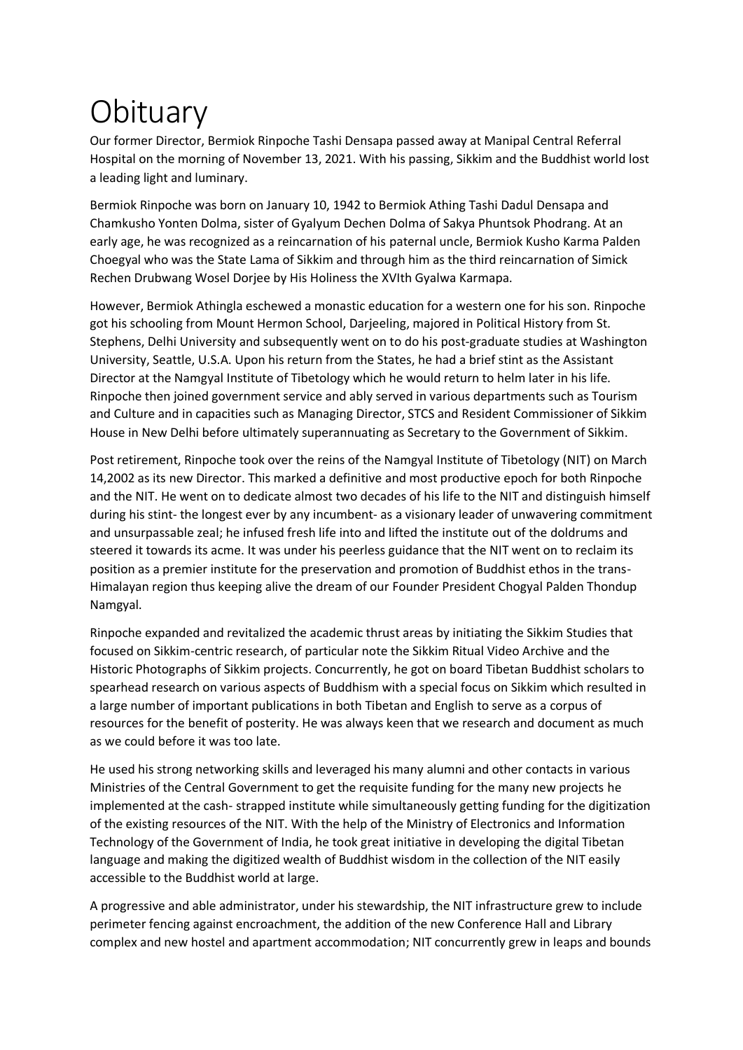## **Obituary**

Our former Director, Bermiok Rinpoche Tashi Densapa passed away at Manipal Central Referral Hospital on the morning of November 13, 2021. With his passing, Sikkim and the Buddhist world lost a leading light and luminary.

Bermiok Rinpoche was born on January 10, 1942 to Bermiok Athing Tashi Dadul Densapa and Chamkusho Yonten Dolma, sister of Gyalyum Dechen Dolma of Sakya Phuntsok Phodrang. At an early age, he was recognized as a reincarnation of his paternal uncle, Bermiok Kusho Karma Palden Choegyal who was the State Lama of Sikkim and through him as the third reincarnation of Simick Rechen Drubwang Wosel Dorjee by His Holiness the XVIth Gyalwa Karmapa.

However, Bermiok Athingla eschewed a monastic education for a western one for his son. Rinpoche got his schooling from Mount Hermon School, Darjeeling, majored in Political History from St. Stephens, Delhi University and subsequently went on to do his post-graduate studies at Washington University, Seattle, U.S.A. Upon his return from the States, he had a brief stint as the Assistant Director at the Namgyal Institute of Tibetology which he would return to helm later in his life. Rinpoche then joined government service and ably served in various departments such as Tourism and Culture and in capacities such as Managing Director, STCS and Resident Commissioner of Sikkim House in New Delhi before ultimately superannuating as Secretary to the Government of Sikkim.

Post retirement, Rinpoche took over the reins of the Namgyal Institute of Tibetology (NIT) on March 14,2002 as its new Director. This marked a definitive and most productive epoch for both Rinpoche and the NIT. He went on to dedicate almost two decades of his life to the NIT and distinguish himself during his stint- the longest ever by any incumbent- as a visionary leader of unwavering commitment and unsurpassable zeal; he infused fresh life into and lifted the institute out of the doldrums and steered it towards its acme. It was under his peerless guidance that the NIT went on to reclaim its position as a premier institute for the preservation and promotion of Buddhist ethos in the trans-Himalayan region thus keeping alive the dream of our Founder President Chogyal Palden Thondup Namgyal.

Rinpoche expanded and revitalized the academic thrust areas by initiating the Sikkim Studies that focused on Sikkim-centric research, of particular note the Sikkim Ritual Video Archive and the Historic Photographs of Sikkim projects. Concurrently, he got on board Tibetan Buddhist scholars to spearhead research on various aspects of Buddhism with a special focus on Sikkim which resulted in a large number of important publications in both Tibetan and English to serve as a corpus of resources for the benefit of posterity. He was always keen that we research and document as much as we could before it was too late.

He used his strong networking skills and leveraged his many alumni and other contacts in various Ministries of the Central Government to get the requisite funding for the many new projects he implemented at the cash- strapped institute while simultaneously getting funding for the digitization of the existing resources of the NIT. With the help of the Ministry of Electronics and Information Technology of the Government of India, he took great initiative in developing the digital Tibetan language and making the digitized wealth of Buddhist wisdom in the collection of the NIT easily accessible to the Buddhist world at large.

A progressive and able administrator, under his stewardship, the NIT infrastructure grew to include perimeter fencing against encroachment, the addition of the new Conference Hall and Library complex and new hostel and apartment accommodation; NIT concurrently grew in leaps and bounds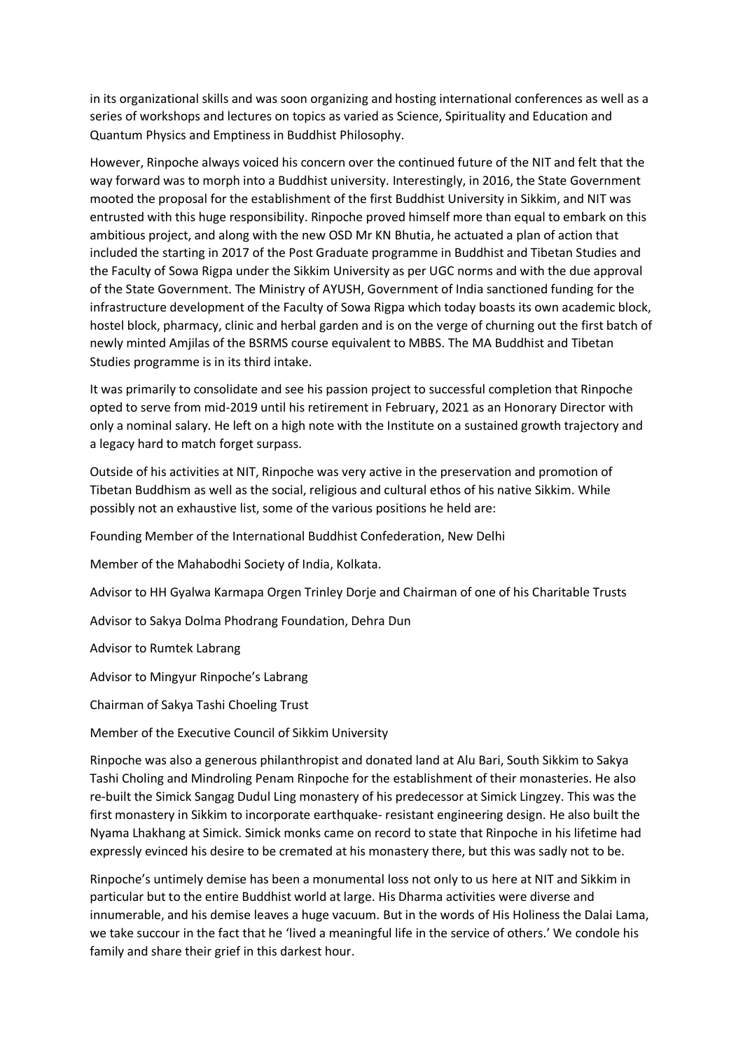in its organizational skills and was soon organizing and hosting international conferences as well as a series of workshops and lectures on topics as varied as Science, Spirituality and Education and Quantum Physics and Emptiness in Buddhist Philosophy.

However, Rinpoche always voiced his concern over the continued future of the NIT and felt that the way forward was to morph into a Buddhist university. Interestingly, in 2016, the State Government mooted the proposal for the establishment of the first Buddhist University in Sikkim, and NIT was entrusted with this huge responsibility. Rinpoche proved himself more than equal to embark on this ambitious project, and along with the new OSD Mr KN Bhutia, he actuated a plan of action that included the starting in 2017 of the Post Graduate programme in Buddhist and Tibetan Studies and the Faculty of Sowa Rigpa under the Sikkim University as per UGC norms and with the due approval of the State Government. The Ministry of AYUSH, Government of India sanctioned funding for the infrastructure development of the Faculty of Sowa Rigpa which today boasts its own academic block, hostel block, pharmacy, clinic and herbal garden and is on the verge of churning out the first batch of newly minted Amjilas of the BSRMS course equivalent to MBBS. The MA Buddhist and Tibetan Studies programme is in its third intake.

It was primarily to consolidate and see his passion project to successful completion that Rinpoche opted to serve from mid-2019 until his retirement in February, 2021 as an Honorary Director with only a nominal salary. He left on a high note with the Institute on a sustained growth trajectory and a legacy hard to match forget surpass.

Outside of his activities at NIT, Rinpoche was very active in the preservation and promotion of Tibetan Buddhism as well as the social, religious and cultural ethos of his native Sikkim. While possibly not an exhaustive list, some of the various positions he held are:

Founding Member of the International Buddhist Confederation, New Delhi

Member of the Mahabodhi Society of India, Kolkata.

Advisor to HH Gyalwa Karmapa Orgen Trinley Dorje and Chairman of one of his Charitable Trusts

Advisor to Sakya Dolma Phodrang Foundation, Dehra Dun

Advisor to Rumtek Labrang

Advisor to Mingyur Rinpoche's Labrang

Chairman of Sakya Tashi Choeling Trust

Member of the Executive Council of Sikkim University

Rinpoche was also a generous philanthropist and donated land at Alu Bari, South Sikkim to Sakya Tashi Choling and Mindroling Penam Rinpoche for the establishment of their monasteries. He also re-built the Simick Sangag Dudul Ling monastery of his predecessor at Simick Lingzey. This was the first monastery in Sikkim to incorporate earthquake- resistant engineering design. He also built the Nyama Lhakhang at Simick. Simick monks came on record to state that Rinpoche in his lifetime had expressly evinced his desire to be cremated at his monastery there, but this was sadly not to be.

Rinpoche's untimely demise has been a monumental loss not only to us here at NIT and Sikkim in particular but to the entire Buddhist world at large. His Dharma activities were diverse and innumerable, and his demise leaves a huge vacuum. But in the words of His Holiness the Dalai Lama, we take succour in the fact that he 'lived a meaningful life in the service of others.' We condole his family and share their grief in this darkest hour.